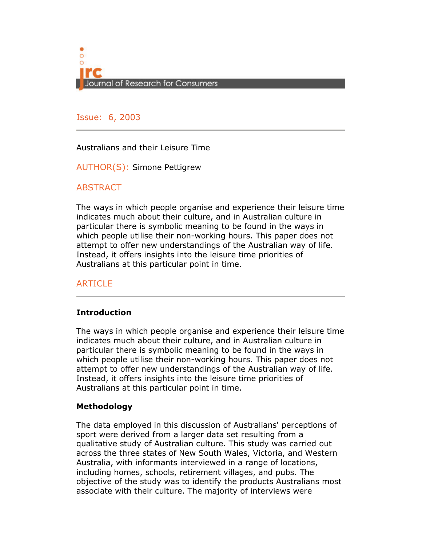

Issue: 6, 2005 Issue: 6, 2003

# Australians and their Leisure Time

AUTHOR(S): Simone Pettigrew

# **ABSTRACT**

The ways in which people organise and experience their leisure time indicates much about their culture, and in Australian culture in particular there is symbolic meaning to be found in the ways in which people utilise their non-working hours. This paper does not attempt to offer new understandings of the Australian way of life. Instead, it offers insights into the leisure time priorities of Australians at this particular point in time.

# ARTICLE

### Introduction

The ways in which people organise and experience their leisure time indicates much about their culture, and in Australian culture in particular there is symbolic meaning to be found in the ways in which people utilise their non-working hours. This paper does not attempt to offer new understandings of the Australian way of life. Instead, it offers insights into the leisure time priorities of Australians at this particular point in time.

### Methodology

The data employed in this discussion of Australians' perceptions of sport were derived from a larger data set resulting from a qualitative study of Australian culture. This study was carried out across the three states of New South Wales, Victoria, and Western Australia, with informants interviewed in a range of locations, including homes, schools, retirement villages, and pubs. The objective of the study was to identify the products Australians most associate with their culture. The majority of interviews were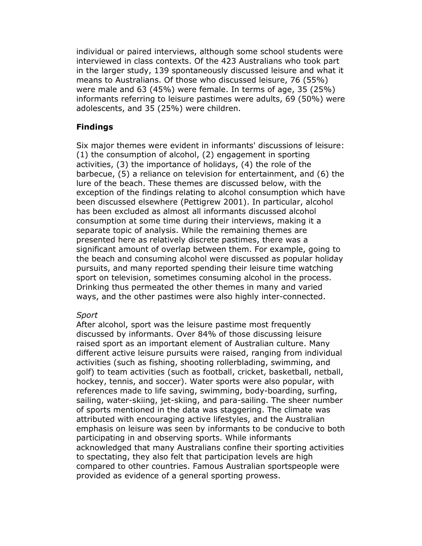individual or paired interviews, although some school students were interviewed in class contexts. Of the 423 Australians who took part in the larger study, 139 spontaneously discussed leisure and what it means to Australians. Of those who discussed leisure, 76 (55%) were male and 63 (45%) were female. In terms of age, 35 (25%) informants referring to leisure pastimes were adults, 69 (50%) were adolescents, and 35 (25%) were children.

# Findings

Six major themes were evident in informants' discussions of leisure: (1) the consumption of alcohol, (2) engagement in sporting activities, (3) the importance of holidays, (4) the role of the barbecue, (5) a reliance on television for entertainment, and (6) the lure of the beach. These themes are discussed below, with the exception of the findings relating to alcohol consumption which have been discussed elsewhere (Pettigrew 2001). In particular, alcohol has been excluded as almost all informants discussed alcohol consumption at some time during their interviews, making it a separate topic of analysis. While the remaining themes are presented here as relatively discrete pastimes, there was a significant amount of overlap between them. For example, going to the beach and consuming alcohol were discussed as popular holiday pursuits, and many reported spending their leisure time watching sport on television, sometimes consuming alcohol in the process. Drinking thus permeated the other themes in many and varied ways, and the other pastimes were also highly inter-connected.

# Sport

After alcohol, sport was the leisure pastime most frequently discussed by informants. Over 84% of those discussing leisure raised sport as an important element of Australian culture. Many different active leisure pursuits were raised, ranging from individual activities (such as fishing, shooting rollerblading, swimming, and golf) to team activities (such as football, cricket, basketball, netball, hockey, tennis, and soccer). Water sports were also popular, with references made to life saving, swimming, body-boarding, surfing, sailing, water-skiing, jet-skiing, and para-sailing. The sheer number of sports mentioned in the data was staggering. The climate was attributed with encouraging active lifestyles, and the Australian emphasis on leisure was seen by informants to be conducive to both participating in and observing sports. While informants acknowledged that many Australians confine their sporting activities to spectating, they also felt that participation levels are high compared to other countries. Famous Australian sportspeople were provided as evidence of a general sporting prowess.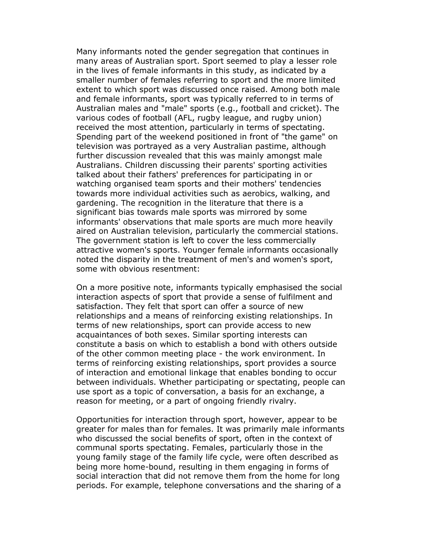Many informants noted the gender segregation that continues in many areas of Australian sport. Sport seemed to play a lesser role in the lives of female informants in this study, as indicated by a smaller number of females referring to sport and the more limited extent to which sport was discussed once raised. Among both male and female informants, sport was typically referred to in terms of Australian males and "male" sports (e.g., football and cricket). The various codes of football (AFL, rugby league, and rugby union) received the most attention, particularly in terms of spectating. Spending part of the weekend positioned in front of "the game" on television was portrayed as a very Australian pastime, although further discussion revealed that this was mainly amongst male Australians. Children discussing their parents' sporting activities talked about their fathers' preferences for participating in or watching organised team sports and their mothers' tendencies towards more individual activities such as aerobics, walking, and gardening. The recognition in the literature that there is a significant bias towards male sports was mirrored by some informants' observations that male sports are much more heavily aired on Australian television, particularly the commercial stations. The government station is left to cover the less commercially attractive women's sports. Younger female informants occasionally noted the disparity in the treatment of men's and women's sport, some with obvious resentment:

On a more positive note, informants typically emphasised the social interaction aspects of sport that provide a sense of fulfilment and satisfaction. They felt that sport can offer a source of new relationships and a means of reinforcing existing relationships. In terms of new relationships, sport can provide access to new acquaintances of both sexes. Similar sporting interests can constitute a basis on which to establish a bond with others outside of the other common meeting place - the work environment. In terms of reinforcing existing relationships, sport provides a source of interaction and emotional linkage that enables bonding to occur between individuals. Whether participating or spectating, people can use sport as a topic of conversation, a basis for an exchange, a reason for meeting, or a part of ongoing friendly rivalry.

Opportunities for interaction through sport, however, appear to be greater for males than for females. It was primarily male informants who discussed the social benefits of sport, often in the context of communal sports spectating. Females, particularly those in the young family stage of the family life cycle, were often described as being more home-bound, resulting in them engaging in forms of social interaction that did not remove them from the home for long periods. For example, telephone conversations and the sharing of a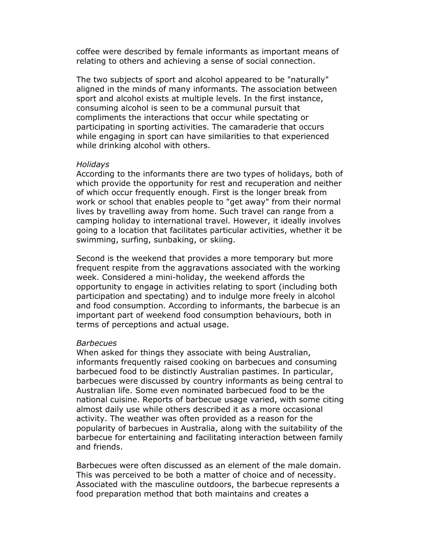coffee were described by female informants as important means of relating to others and achieving a sense of social connection.

The two subjects of sport and alcohol appeared to be "naturally" aligned in the minds of many informants. The association between sport and alcohol exists at multiple levels. In the first instance, consuming alcohol is seen to be a communal pursuit that compliments the interactions that occur while spectating or participating in sporting activities. The camaraderie that occurs while engaging in sport can have similarities to that experienced while drinking alcohol with others.

#### **Holidavs**

According to the informants there are two types of holidays, both of which provide the opportunity for rest and recuperation and neither of which occur frequently enough. First is the longer break from work or school that enables people to "get away" from their normal lives by travelling away from home. Such travel can range from a camping holiday to international travel. However, it ideally involves going to a location that facilitates particular activities, whether it be swimming, surfing, sunbaking, or skiing.

Second is the weekend that provides a more temporary but more frequent respite from the aggravations associated with the working week. Considered a mini-holiday, the weekend affords the opportunity to engage in activities relating to sport (including both participation and spectating) and to indulge more freely in alcohol and food consumption. According to informants, the barbecue is an important part of weekend food consumption behaviours, both in terms of perceptions and actual usage.

#### **Barbecues**

When asked for things they associate with being Australian, informants frequently raised cooking on barbecues and consuming barbecued food to be distinctly Australian pastimes. In particular, barbecues were discussed by country informants as being central to Australian life. Some even nominated barbecued food to be the national cuisine. Reports of barbecue usage varied, with some citing almost daily use while others described it as a more occasional activity. The weather was often provided as a reason for the popularity of barbecues in Australia, along with the suitability of the barbecue for entertaining and facilitating interaction between family and friends.

Barbecues were often discussed as an element of the male domain. This was perceived to be both a matter of choice and of necessity. Associated with the masculine outdoors, the barbecue represents a food preparation method that both maintains and creates a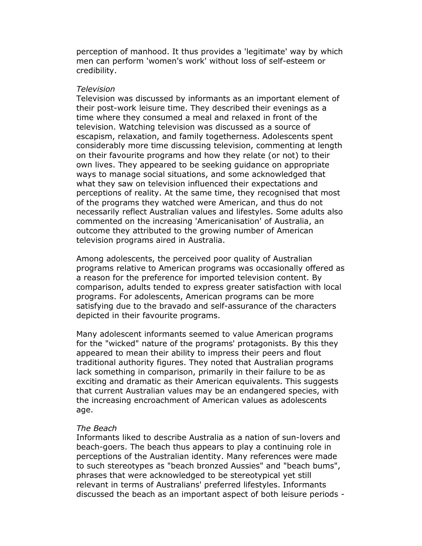perception of manhood. It thus provides a 'legitimate' way by which men can perform 'women's work' without loss of self-esteem or credibility.

#### Television

Television was discussed by informants as an important element of their post-work leisure time. They described their evenings as a time where they consumed a meal and relaxed in front of the television. Watching television was discussed as a source of escapism, relaxation, and family togetherness. Adolescents spent considerably more time discussing television, commenting at length on their favourite programs and how they relate (or not) to their own lives. They appeared to be seeking guidance on appropriate ways to manage social situations, and some acknowledged that what they saw on television influenced their expectations and perceptions of reality. At the same time, they recognised that most of the programs they watched were American, and thus do not necessarily reflect Australian values and lifestyles. Some adults also commented on the increasing 'Americanisation' of Australia, an outcome they attributed to the growing number of American television programs aired in Australia.

Among adolescents, the perceived poor quality of Australian programs relative to American programs was occasionally offered as a reason for the preference for imported television content. By comparison, adults tended to express greater satisfaction with local programs. For adolescents, American programs can be more satisfying due to the bravado and self-assurance of the characters depicted in their favourite programs.

Many adolescent informants seemed to value American programs for the "wicked" nature of the programs' protagonists. By this they appeared to mean their ability to impress their peers and flout traditional authority figures. They noted that Australian programs lack something in comparison, primarily in their failure to be as exciting and dramatic as their American equivalents. This suggests that current Australian values may be an endangered species, with the increasing encroachment of American values as adolescents age.

### The Beach

Informants liked to describe Australia as a nation of sun-lovers and beach-goers. The beach thus appears to play a continuing role in perceptions of the Australian identity. Many references were made to such stereotypes as "beach bronzed Aussies" and "beach bums", phrases that were acknowledged to be stereotypical yet still relevant in terms of Australians' preferred lifestyles. Informants discussed the beach as an important aspect of both leisure periods -